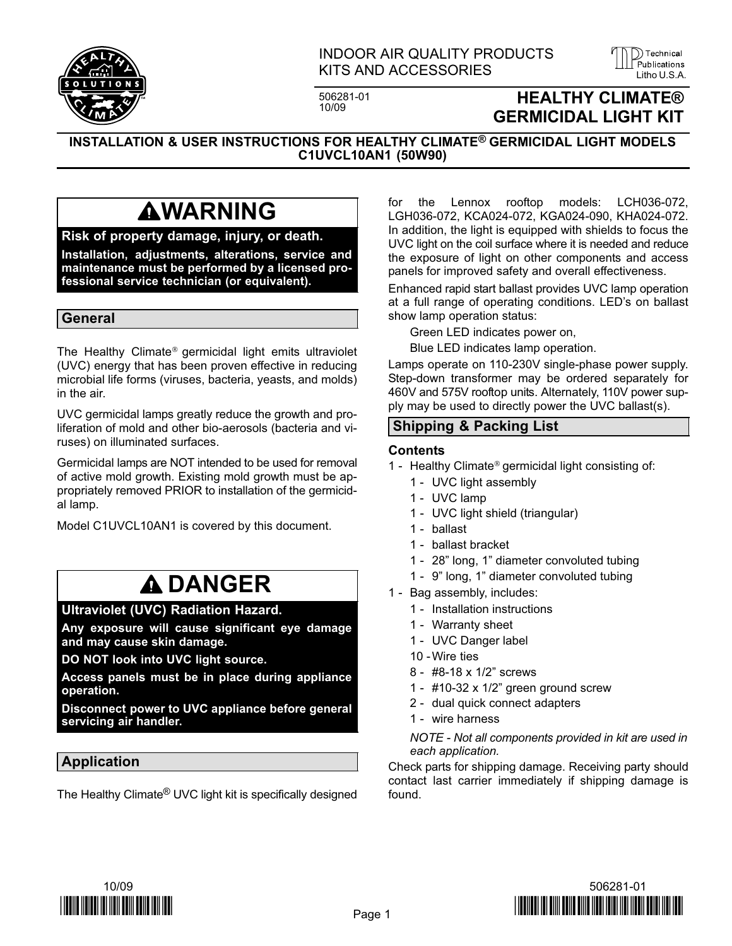

### INDOOR AIR QUALITY PRODUCTS KITS AND ACCESSORIES LITTED AND ALL AND AND ALL AND ACCESSORIES

506281-01<br>10/09

## **HEALTHY CLIMATE®** GERMICIDAL LIGHT KIT

)) Technical

INSTALLATION & USER INSTRUCTIONS FOR HEALTHY CLIMATE® GERMICIDAL LIGHT MODELS C1UVCL10AN1 (50W90)

## **AWARNING**

#### Risk of property damage, injury, or death.

Installation, adjustments, alterations, service and maintenance must be performed by a licensed professional service technician (or equivalent).

#### General

The Healthy Climate® germicidal light emits ultraviolet (UVC) energy that has been proven effective in reducing microbial life forms (viruses, bacteria, yeasts, and molds) in the air.

UVC germicidal lamps greatly reduce the growth and proliferation of mold and other bio−aerosols (bacteria and viruses) on illuminated surfaces.

Germicidal lamps are NOT intended to be used for removal of active mold growth. Existing mold growth must be appropriately removed PRIOR to installation of the germicidal lamp.

Model C1UVCL10AN1 is covered by this document.

## **A DANGER**

#### Ultraviolet (UVC) Radiation Hazard.

Any exposure will cause significant eye damage and may cause skin damage.

DO NOT look into UVC light source.

Access panels must be in place during appliance operation.

Disconnect power to UVC appliance before general servicing air handler.

### Application

The Healthy Climate® UVC light kit is specifically designed

for the Lennox rooftop models: LCH036−072, LGH036−072, KCA024−072, KGA024−090, KHA024−072. In addition, the light is equipped with shields to focus the UVC light on the coil surface where it is needed and reduce the exposure of light on other components and access panels for improved safety and overall effectiveness.

Enhanced rapid start ballast provides UVC lamp operation at a full range of operating conditions. LED´s on ballast show lamp operation status:

Green LED indicates power on,

Blue LED indicates lamp operation.

Lamps operate on 110−230V single-phase power supply. Step-down transformer may be ordered separately for 460V and 575V rooftop units. Alternately, 110V power supply may be used to directly power the UVC ballast(s).

#### Shipping & Packing List

#### **Contents**

- 1 − Healthy Climate® germicidal light consisting of:
	- 1 UVC light assembly
	- 1 − UVC lamp
	- 1 − UVC light shield (triangular)
	- 1 − ballast
	- 1 − ballast bracket
	- 1 − 28" long, 1" diameter convoluted tubing
	- 1 − 9" long, 1" diameter convoluted tubing
- 1 Bag assembly, includes:
	- 1 − Installation instructions
	- 1 − Warranty sheet
	- 1 UVC Danger label
	- 10 −Wire ties
	- 8 − #8−18 x 1/2" screws
	- 1 − #10−32 x 1/2" green ground screw
	- 2 − dual quick connect adapters
	- 1 − wire harness

NOTE − Not all components provided in kit are used in each application.

Check parts for shipping damage. Receiving party should contact last carrier immediately if shipping damage is found.



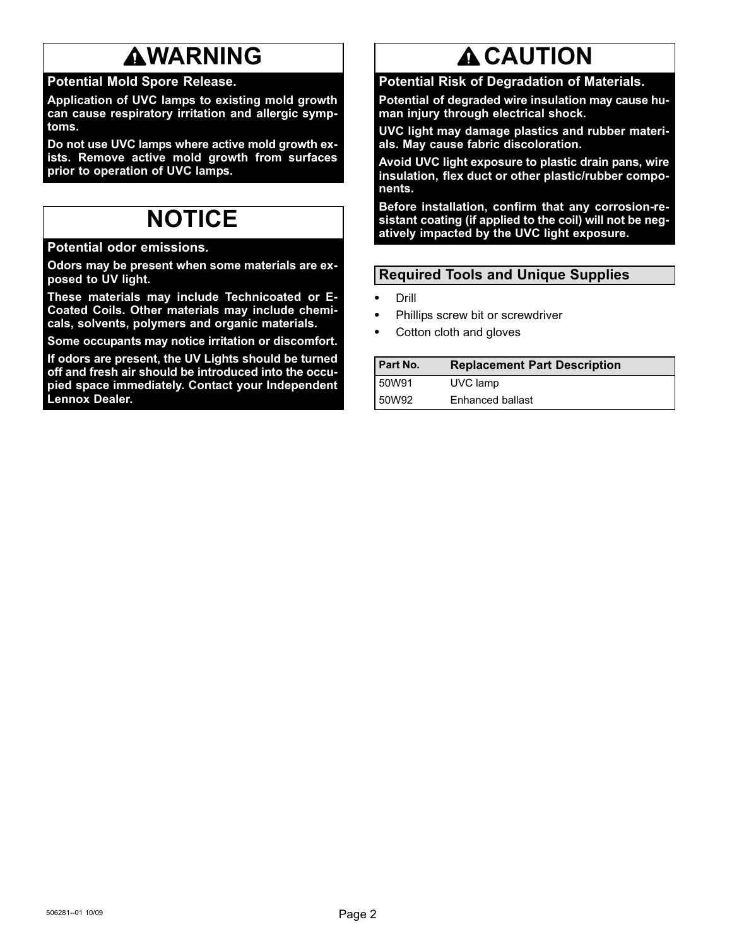## **AWARNING**

## Potential Mold Spore Release.

Application of UVC lamps to existing mold growth can cause respiratory irritation and allergic symptoms.

Do not use UVC lamps where active mold growth exists. Remove active mold growth from surfaces prior to operation of UVC lamps.

## NOTICE

Potential odor emissions.

Odors may be present when some materials are exposed to UV light.

These materials may include Technicoated or E− Coated Coils. Other materials may include chemicals, solvents, polymers and organic materials.

Some occupants may notice irritation or discomfort.

If odors are present, the UV Lights should be turned off and fresh air should be introduced into the occupied space immediately. Contact your Independent Lennox Dealer.

# **A CAUTION**

Potential Risk of Degradation of Materials.

Potential of degraded wire insulation may cause human injury through electrical shock.

UVC light may damage plastics and rubber materials. May cause fabric discoloration.

Avoid UVC light exposure to plastic drain pans, wire insulation, flex duct or other plastic/rubber components.

Before installation, confirm that any corrosion-resistant coating (if applied to the coil) will not be negatively impacted by the UVC light exposure.

## Required Tools and Unique Supplies

- - Drill -
- Phillips screw bit or screwdriver -
- Cotton cloth and gloves

| <b>Part No.</b> | <b>Replacement Part Description</b> |
|-----------------|-------------------------------------|
| <b>50W91</b>    | UVC lamp                            |
| 50W92           | Enhanced ballast                    |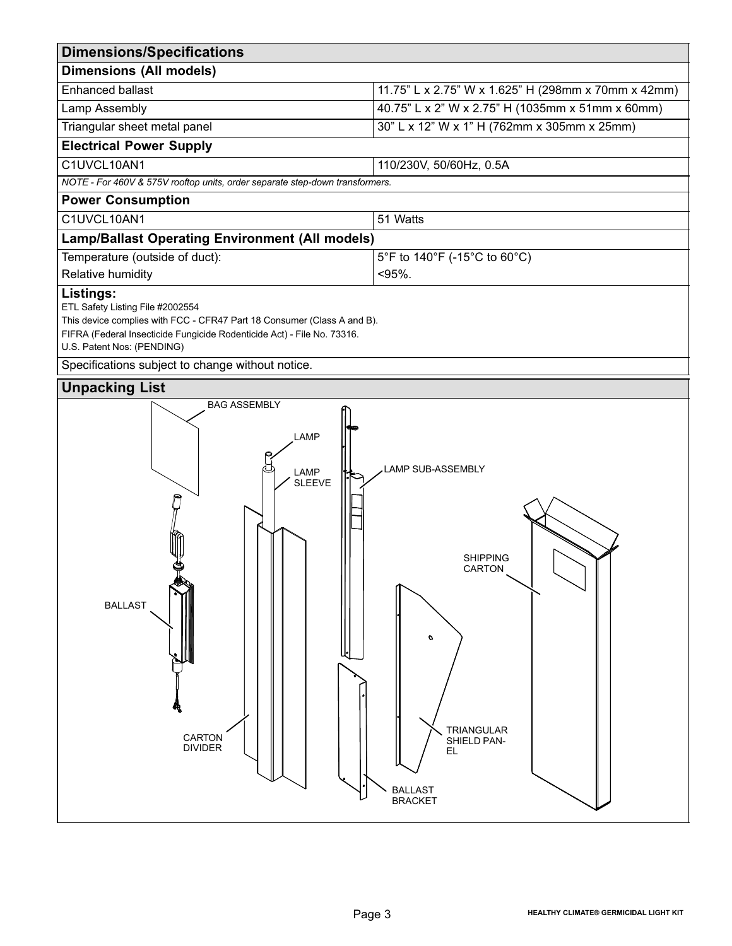| <b>Dimensions/Specifications</b>                                                                                                                                                                                                                                         |                                                                                                                                          |  |  |
|--------------------------------------------------------------------------------------------------------------------------------------------------------------------------------------------------------------------------------------------------------------------------|------------------------------------------------------------------------------------------------------------------------------------------|--|--|
| <b>Dimensions (All models)</b>                                                                                                                                                                                                                                           |                                                                                                                                          |  |  |
| <b>Enhanced ballast</b>                                                                                                                                                                                                                                                  | 11.75" L x 2.75" W x 1.625" H (298mm x 70mm x 42mm)                                                                                      |  |  |
| Lamp Assembly                                                                                                                                                                                                                                                            | 40.75" L x 2" W x 2.75" H (1035mm x 51mm x 60mm)                                                                                         |  |  |
| Triangular sheet metal panel                                                                                                                                                                                                                                             | 30" L x 12" W x 1" H (762mm x 305mm x 25mm)                                                                                              |  |  |
| <b>Electrical Power Supply</b>                                                                                                                                                                                                                                           |                                                                                                                                          |  |  |
| C1UVCL10AN1                                                                                                                                                                                                                                                              | 110/230V, 50/60Hz, 0.5A                                                                                                                  |  |  |
| NOTE - For 460V & 575V rooftop units, order separate step-down transformers.                                                                                                                                                                                             |                                                                                                                                          |  |  |
| <b>Power Consumption</b>                                                                                                                                                                                                                                                 |                                                                                                                                          |  |  |
| C1UVCL10AN1                                                                                                                                                                                                                                                              | 51 Watts                                                                                                                                 |  |  |
| <b>Lamp/Ballast Operating Environment (All models)</b>                                                                                                                                                                                                                   |                                                                                                                                          |  |  |
| Temperature (outside of duct):                                                                                                                                                                                                                                           | 5°F to 140°F (-15°C to 60°C)                                                                                                             |  |  |
| Relative humidity                                                                                                                                                                                                                                                        | $< 95\%$ .                                                                                                                               |  |  |
| ETL Safety Listing File #2002554<br>This device complies with FCC - CFR47 Part 18 Consumer (Class A and B).<br>FIFRA (Federal Insecticide Fungicide Rodenticide Act) - File No. 73316.<br>U.S. Patent Nos: (PENDING)<br>Specifications subject to change without notice. |                                                                                                                                          |  |  |
| <b>Unpacking List</b>                                                                                                                                                                                                                                                    |                                                                                                                                          |  |  |
| <b>BAG ASSEMBLY</b><br>LAMP<br>LAMP<br><b>SLEEVE</b><br><b>BALLAST</b><br>CARTON<br><b>DIVIDER</b>                                                                                                                                                                       | LAMP SUB-ASSEMBLY<br><b>SHIPPING</b><br><b>CARTON</b><br>o<br><b>TRIANGULAR</b><br>SHIELD PAN-<br>EL<br><b>BALLAST</b><br><b>BRACKET</b> |  |  |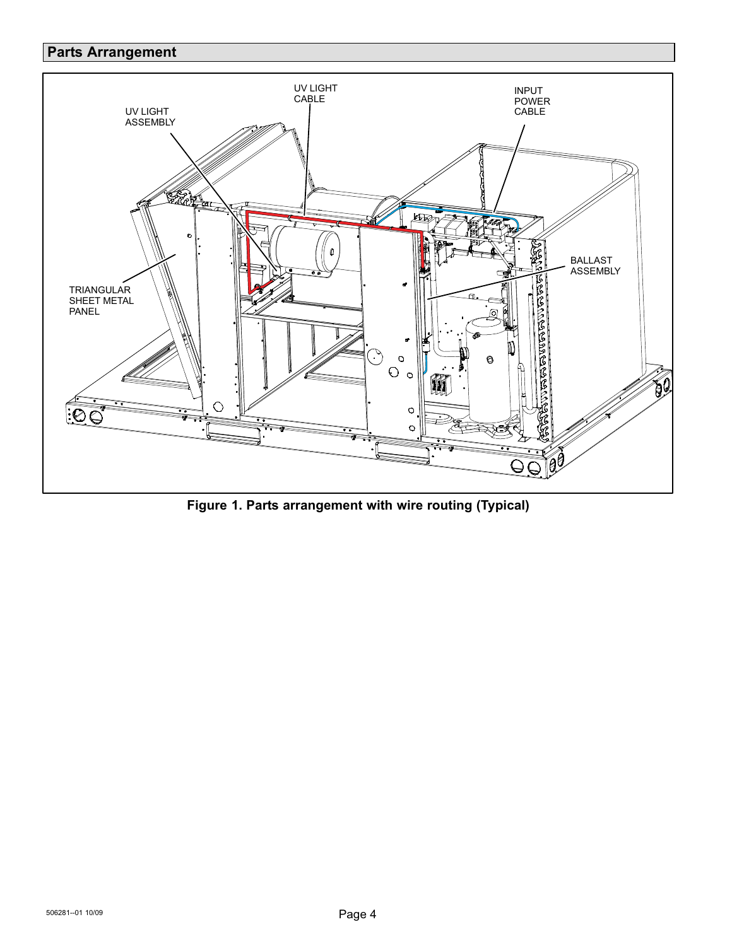## Parts Arrangement



Figure 1. Parts arrangement with wire routing (Typical)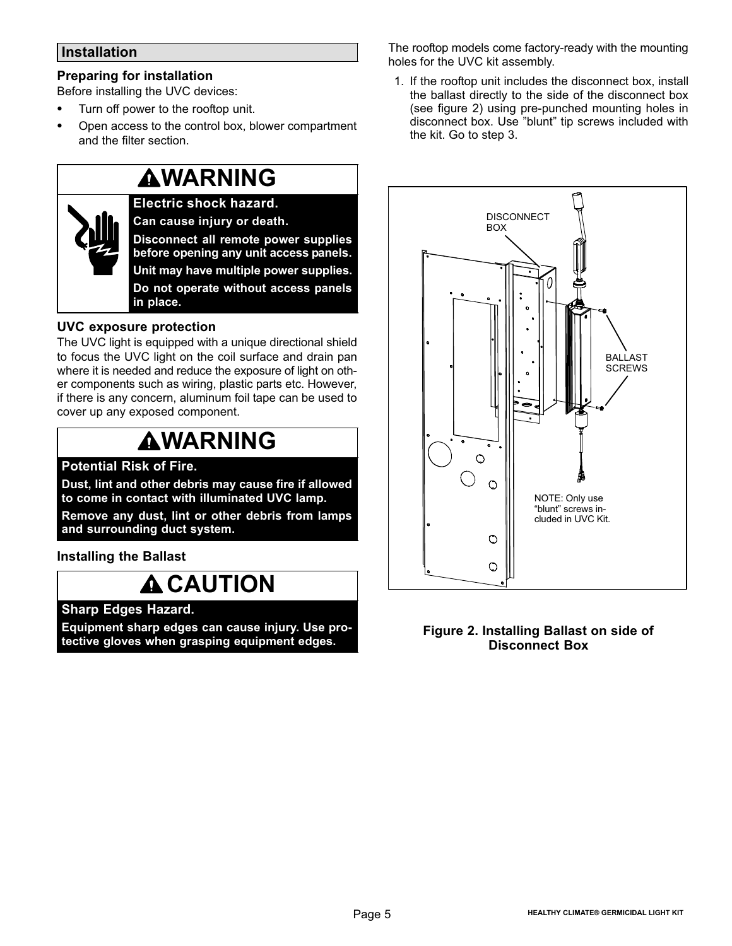### Installation

### Preparing for installation

- Before installing the UVC devices: -
- Turn off power to the rooftop unit. -
- Open access to the control box, blower compartment and the filter section.

## **AWARNING**

Electric shock hazard. Can cause injury or death. Disconnect all remote power supplies before opening any unit access panels. Unit may have multiple power supplies. Do not operate without access panels in place.

## UVC exposure protection

The UVC light is equipped with a unique directional shield to focus the UVC light on the coil surface and drain pan where it is needed and reduce the exposure of light on other components such as wiring, plastic parts etc. However, if there is any concern, aluminum foil tape can be used to cover up any exposed component.

## **AWARNING**

## Potential Risk of Fire.

Dust, lint and other debris may cause fire if allowed to come in contact with illuminated UVC lamp.

Remove any dust, lint or other debris from lamps and surrounding duct system.

Installing the Ballast

## **A CAUTION**

#### Sharp Edges Hazard.

Equipment sharp edges can cause injury. Use protective gloves when grasping equipment edges.

The rooftop models come factory−ready with the mounting holes for the UVC kit assembly.

1. If the rooftop unit includes the disconnect box, install the ballast directly to the side of the disconnect box (see figure 2) using pre−punched mounting holes in disconnect box. Use "blunt" tip screws included with the kit. Go to step [3.](#page-5-0)



#### Figure 2. Installing Ballast on side of Disconnect Box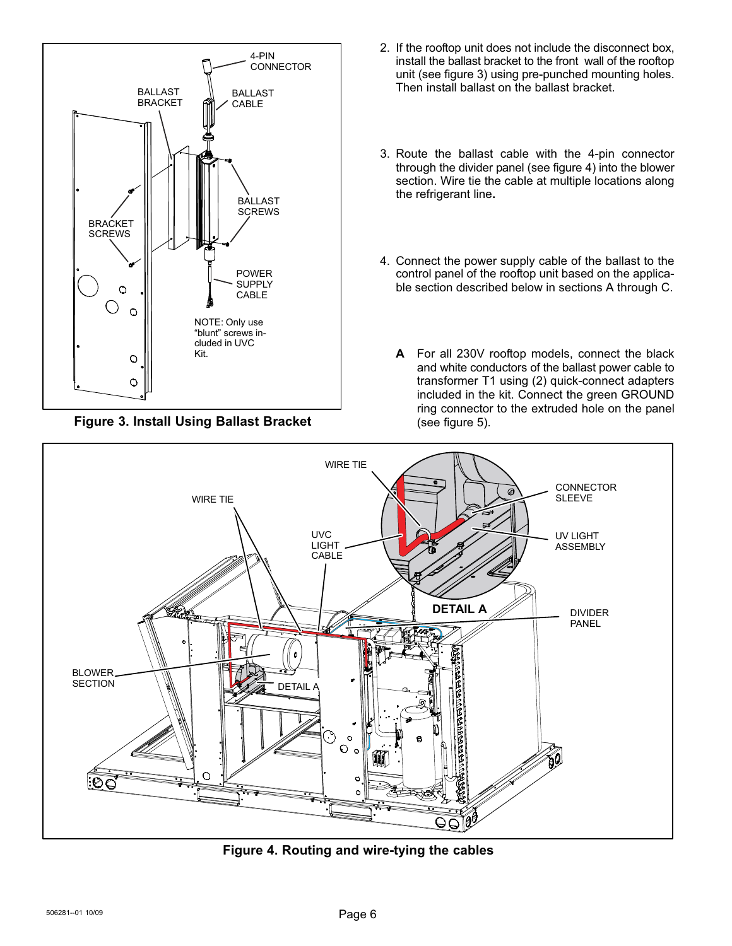<span id="page-5-0"></span>

Figure 3. Install Using Ballast Bracket

- 2. If the rooftop unit does not include the disconnect box, install the ballast bracket to the front wall of the rooftop unit (see figure 3) using pre−punched mounting holes. Then install ballast on the ballast bracket.
- 3. Route the ballast cable with the 4−pin connector through the divider panel (see figure 4) into the blower section. Wire tie the cable at multiple locations along the refrigerant line.
- 4. Connect the power supply cable of the ballast to the control panel of the rooftop unit based on the applicable section described below in sections A through [C](#page-6-0).
	- A For all 230V rooftop models, connect the black and white conductors of the ballast power cable to transformer T1 using (2) quick−connect adapters included in the kit. Connect the green GROUND ring connector to the extruded hole on the panel (see figure [5\)](#page-6-0).



Figure 4. Routing and wire−tying the cables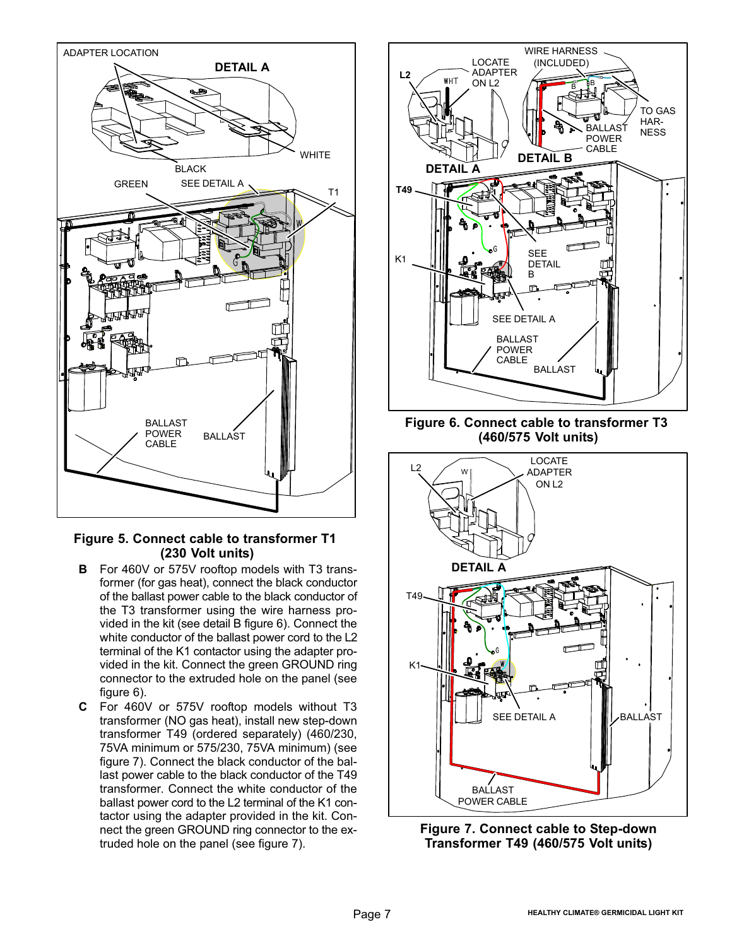<span id="page-6-0"></span>

#### Figure 5. Connect cable to transformer T1 (230 Volt units)

- B For 460V or 575V rooftop models with T3 transformer (for gas heat), connect the black conductor of the ballast power cable to the black conductor of the T3 transformer using the wire harness provided in the kit (see detail B figure 6). Connect the white conductor of the ballast power cord to the L2 terminal of the K1 contactor using the adapter provided in the kit. Connect the green GROUND ring connector to the extruded hole on the panel (see figure 6).
- C For 460V or 575V rooftop models without T3 transformer (NO gas heat), install new step−down transformer T49 (ordered separately) (460/230, 75VA minimum or 575/230, 75VA minimum) (see figure 7). Connect the black conductor of the ballast power cable to the black conductor of the T49 transformer. Connect the white conductor of the ballast power cord to the L2 terminal of the K1 contactor using the adapter provided in the kit. Connect the green GROUND ring connector to the extruded hole on the panel (see figure 7).



Figure 6. Connect cable to transformer T3 (460/575 Volt units)



Figure 7. Connect cable to Step−down Transformer T49 (460/575 Volt units)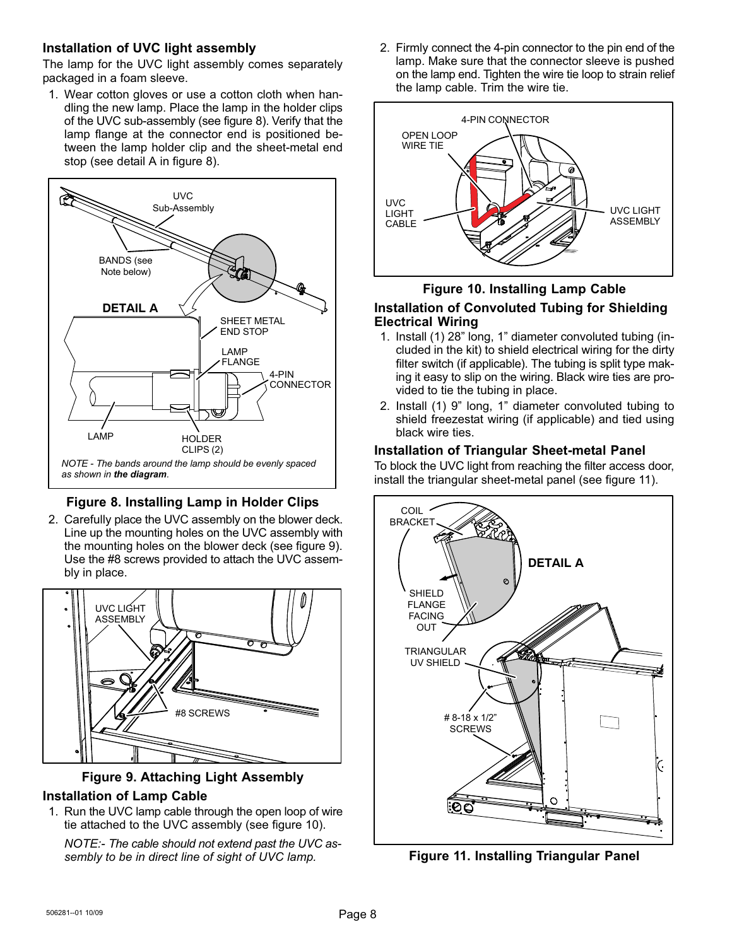#### <span id="page-7-0"></span>Installation of UVC light assembly

The lamp for the UVC light assembly comes separately packaged in a foam sleeve.

1. Wear cotton gloves or use a cotton cloth when handling the new lamp. Place the lamp in the holder clips of the UVC sub−assembly (see figure 8). Verify that the lamp flange at the connector end is positioned between the lamp holder clip and the sheet−metal end stop (see detail A in figure 8).



## Figure 8. Installing Lamp in Holder Clips

2. Carefully place the UVC assembly on the blower deck. Line up the mounting holes on the UVC assembly with the mounting holes on the blower deck (see figure 9). Use the #8 screws provided to attach the UVC assembly in place.



#### Figure 9. Attaching Light Assembly

#### Installation of Lamp Cable

1. Run the UVC lamp cable through the open loop of wire tie attached to the UVC assembly (see figure 10).

NOTE:− The cable should not extend past the UVC assembly to be in direct line of sight of UVC lamp.

2. Firmly connect the 4−pin connector to the pin end of the lamp. Make sure that the connector sleeve is pushed on the lamp end. Tighten the wire tie loop to strain relief the lamp cable. Trim the wire tie.



### Figure 10. Installing Lamp Cable Installation of Convoluted Tubing for Shielding Electrical Wiring

- 1. Install (1) 28" long, 1" diameter convoluted tubing (included in the kit) to shield electrical wiring for the dirty filter switch (if applicable). The tubing is split type making it easy to slip on the wiring. Black wire ties are provided to tie the tubing in place.
- 2. Install (1) 9" long, 1" diameter convoluted tubing to shield freezestat wiring (if applicable) and tied using black wire ties.

#### Installation of Triangular Sheet−metal Panel

To block the UVC light from reaching the filter access door, install the triangular sheet−metal panel (see figure 11).



Figure 11. Installing Triangular Panel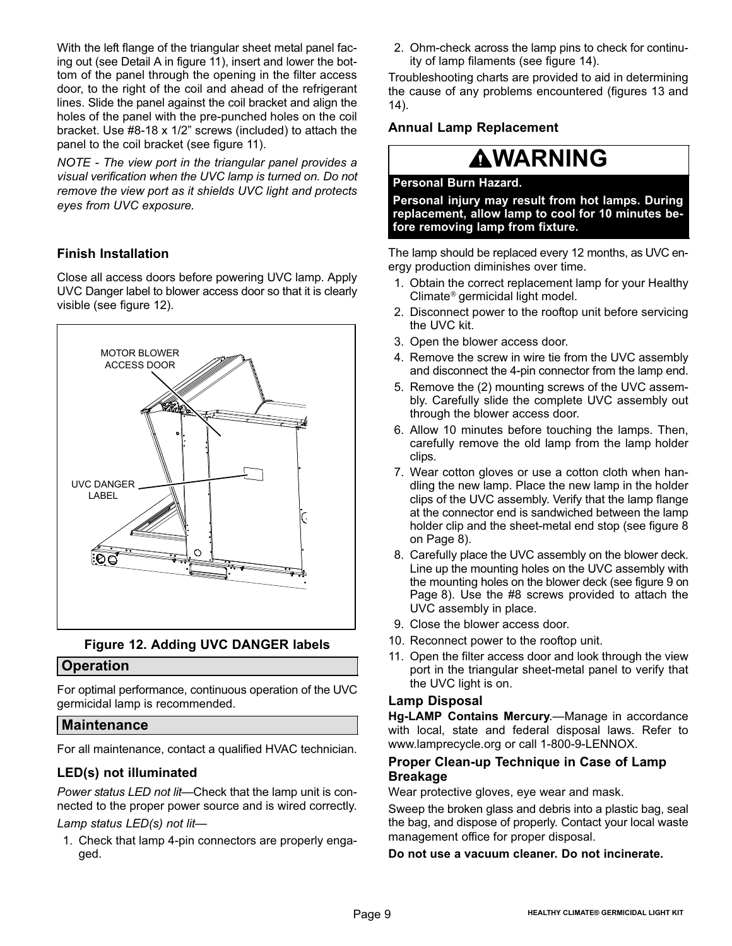With the left flange of the triangular sheet metal panel facing out (see Detail A in figure [11](#page-7-0)), insert and lower the bottom of the panel through the opening in the filter access door, to the right of the coil and ahead of the refrigerant lines. Slide the panel against the coil bracket and align the holes of the panel with the pre−punched holes on the coil bracket. Use #8−18 x 1/2" screws (included) to attach the panel to the coil bracket (see figure [11\)](#page-7-0).

NOTE − The view port in the triangular panel provides a visual verification when the UVC lamp is turned on. Do not remove the view port as it shields UVC light and protects eyes from UVC exposure.

## Finish Installation

Close all access doors before powering UVC lamp. Apply UVC Danger label to blower access door so that it is clearly visible (see figure 12).



#### Figure 12. Adding UVC DANGER labels

#### **Operation**

For optimal performance, continuous operation of the UVC germicidal lamp is recommended.

#### Maintenance

For all maintenance, contact a qualified HVAC technician.

#### LED(s) not illuminated

Power status LED not lit—Check that the lamp unit is connected to the proper power source and is wired correctly.

### Lamp status LED(s) not lit-

1. Check that lamp 4−pin connectors are properly engaged.

2. Ohm−check across the lamp pins to check for continuity of lamp filaments (see figure [14\)](#page-9-0).

Troubleshooting charts are provided to aid in determining the cause of any problems encountered (figures [13](#page-9-0) and [14](#page-9-0)).

#### Annual Lamp Replacement

## **AWARNING**

#### Personal Burn Hazard.

Personal injury may result from hot lamps. During replacement, allow lamp to cool for 10 minutes before removing lamp from fixture.

The lamp should be replaced every 12 months, as UVC energy production diminishes over time.

- 1. Obtain the correct replacement lamp for your Healthy Climate® germicidal light model.
- 2. Disconnect power to the rooftop unit before servicing the UVC kit.
- 3. Open the blower access door.
- 4. Remove the screw in wire tie from the UVC assembly and disconnect the 4−pin connector from the lamp end.
- 5. Remove the (2) mounting screws of the UVC assembly. Carefully slide the complete UVC assembly out through the blower access door.
- 6. Allow 10 minutes before touching the lamps. Then, carefully remove the old lamp from the lamp holder clips.
- 7. Wear cotton gloves or use a cotton cloth when handling the new lamp. Place the new lamp in the holder clips of the UVC assembly. Verify that the lamp flange at the connector end is sandwiched between the lamp holder clip and the sheet−metal end stop (see figure [8](#page-7-0) on [Page 8\)](#page-7-0).
- 8. Carefully place the UVC assembly on the blower deck. Line up the mounting holes on the UVC assembly with the mounting holes on the blower deck (see figure [9](#page-7-0) on [Page 8\)](#page-7-0). Use the #8 screws provided to attach the UVC assembly in place.
- 9. Close the blower access door.
- 10. Reconnect power to the rooftop unit.
- 11. Open the filter access door and look through the view port in the triangular sheet−metal panel to verify that the UVC light is on.

#### Lamp Disposal

Hg-LAMP Contains Mercury.—Manage in accordance with local, state and federal disposal laws. Refer to www.lamprecycle.org or call 1−800−9−LENNOX.

#### Proper Clean−up Technique in Case of Lamp Breakage

Wear protective gloves, eye wear and mask.

Sweep the broken glass and debris into a plastic bag, seal the bag, and dispose of properly. Contact your local waste management office for proper disposal.

Do not use a vacuum cleaner. Do not incinerate.